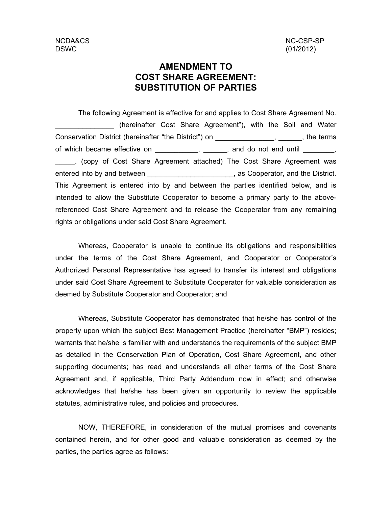NCDA&CS NC-CSP-SP

## **AMENDMENT TO COST SHARE AGREEMENT: SUBSTITUTION OF PARTIES**

entered into by and between \_\_\_\_\_\_\_\_\_\_\_\_\_\_\_\_\_\_\_\_\_\_\_, as Cooperator, and the District. This Agreement is entered into by and between the parties identified below, and is intended to allow the Substitute Cooperator to become a primary party to the abovereferenced Cost Share Agreement and to release the Cooperator from any remaining rights or obligations under said Cost Share Agreement. . (copy of Cost Share Agreement attached) The Cost Share Agreement was \_\_\_\_\_ of which became effective on  $\_\_\_\_\_\,,\_\_\_\_\$ , and do not end until  $\_\_\_\_\_\,,$ Conservation District (hereinafter "the District") on \_\_\_\_\_\_\_\_\_\_\_\_\_\_\_\_\_, \_\_\_\_\_\_, the terms (hereinafter Cost Share Agreement"), with the Soil and Water \_\_\_\_\_\_\_\_\_\_\_\_\_\_\_ The following Agreement is effective for and applies to Cost Share Agreement No.

Whereas, Cooperator is unable to continue its obligations and responsibilities under the terms of the Cost Share Agreement, and Cooperator or Cooperator's Authorized Personal Representative has agreed to transfer its interest and obligations under said Cost Share Agreement to Substitute Cooperator for valuable consideration as deemed by Substitute Cooperator and Cooperator; and

Whereas, Substitute Cooperator has demonstrated that he/she has control of the property upon which the subject Best Management Practice (hereinafter "BMP") resides; warrants that he/she is familiar with and understands the requirements of the subject BMP as detailed in the Conservation Plan of Operation, Cost Share Agreement, and other supporting documents; has read and understands all other terms of the Cost Share Agreement and, if applicable, Third Party Addendum now in effect; and otherwise acknowledges that he/she has been given an opportunity to review the applicable statutes, administrative rules, and policies and procedures.

NOW, THEREFORE, in consideration of the mutual promises and covenants contained herein, and for other good and valuable consideration as deemed by the parties, the parties agree as follows: